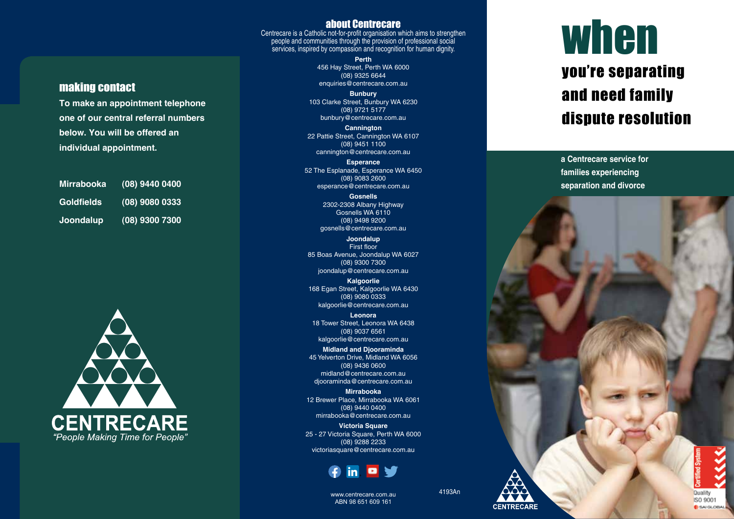#### about Centrecare Centrecare is a Catholic not-for-profit organisation which aims to strengthen people and communities through the provision of professional social services, inspired by compassion and recognition for human dignity.

**Perth**

456 Hay Street, Perth WA 6000 (08) 9325 6644 enquiries@centrecare.com.au

**Bunbury** 103 Clarke Street, Bunbury WA 6230 (08) 9721 5177 bunbury@centrecare.com.au

**Cannington** 22 Pattie Street, Cannington WA 6107 (08) 9451 1100 cannington@centrecare.com.au

**Esperance** 52 The Esplanade, Esperance WA 6450 (08) 9083 2600 esperance@centrecare.com.au

> **Gosnells** 2302-2308 Albany Highway Gosnells WA 6110 (08) 9498 9200 gosnells@centrecare.com.au

**Joondalup** First floor 85 Boas Avenue, Joondalup WA 6027 (08) 9300 7300 joondalup@centrecare.com.au

**Kalgoorlie** 168 Egan Street, Kalgoorlie WA 6430 (08) 9080 0333 kalgoorlie@centrecare.com.au

**Leonora** 18 Tower Street, Leonora WA 6438 (08) 9037 6561 kalgoorlie@centrecare.com.au

**Midland and Djooraminda** 45 Yelverton Drive, Midland WA 6056 (08) 9436 0600 midland@centrecare.com.au djooraminda@centrecare.com.au

**Mirrabooka** 12 Brewer Place, Mirrabooka WA 6061 (08) 9440 0400 mirrabooka@centrecare.com.au

**Victoria Square** 25 - 27 Victoria Square, Perth WA 6000 (08) 9288 2233 victoriasquare@centrecare.com.au



## when you're separating and need family dispute resolution

**a Centrecare service for families experiencing separation and divorce**



making contact

**To make an appointment telephone one of our central referral numbers**

**below. You will be offered an** 

**Mirrabooka (08) 9440 0400**

**Goldfields (08) 9080 0333**

**Joondalup (08) 9300 7300**

**individual appointment.**



www.centrecare.com.au ABN 98 651 609 161

4193An

**CENTRECARE**